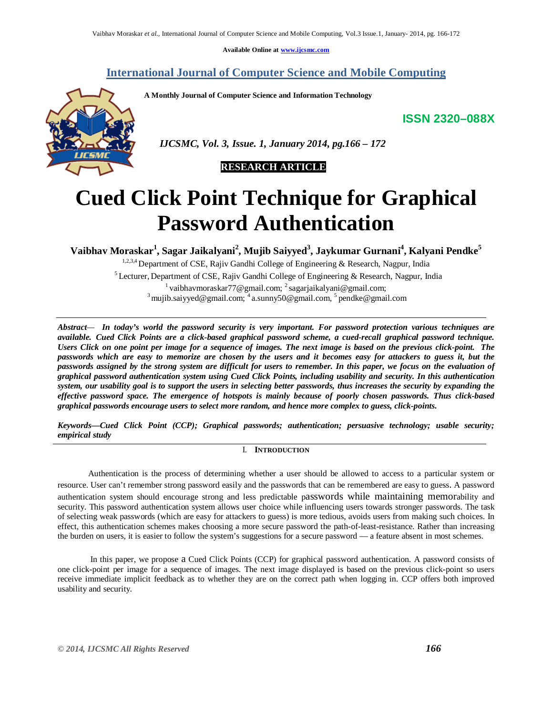**Available Online at www.ijcsmc.com**

**International Journal of Computer Science and Mobile Computing**

 *IJCSMC, Vol. 3, Issue. 1, January 2014, pg.166 – 172*

**A Monthly Journal of Computer Science and Information Technology**



# **Cued Click Point Technique for Graphical Password Authentication**

**Vaibhav Moraskar<sup>1</sup> , Sagar Jaikalyani<sup>2</sup> , Mujib Saiyyed<sup>3</sup> , Jaykumar Gurnani<sup>4</sup> , Kalyani Pendke<sup>5</sup>**

1,2,3,4 Department of CSE, Rajiv Gandhi College of Engineering & Research, Nagpur, India <sup>5</sup> Lecturer, Department of CSE, Rajiv Gandhi College of Engineering & Research, Nagpur, India  $^{1}$ vaibhavmoraskar77@gmail.com;  $^{2}$ sagarjaikalyani@gmail.com; <sup>3</sup> mujib.saiyyed@gmail.com; <sup>4</sup> a.sunny50@gmail.com, <sup>5</sup> pendke@gmail.com

*Abstract— In today's world the password security is very important. For password protection various techniques are available. Cued Click Points are a click-based graphical password scheme, a cued-recall graphical password technique. Users Click on one point per image for a sequence of images. The next image is based on the previous click-point. The passwords which are easy to memorize are chosen by the users and it becomes easy for attackers to guess it, but the passwords assigned by the strong system are difficult for users to remember. In this paper, we focus on the evaluation of graphical password authentication system using Cued Click Points, including usability and security. In this authentication system, our usability goal is to support the users in selecting better passwords, thus increases the security by expanding the effective password space. The emergence of hotspots is mainly because of poorly chosen passwords. Thus click-based graphical passwords encourage users to select more random, and hence more complex to guess, click-points.*

*Keywords—Cued Click Point (CCP); Graphical passwords; authentication; persuasive technology; usable security; empirical study*

# I. **INTRODUCTION**

Authentication is the process of determining whether a user should be allowed to access to a particular system or resource. User can't remember strong password easily and the passwords that can be remembered are easy to guess. A password authentication system should encourage strong and less predictable passwords while maintaining memorability and security. This password authentication system allows user choice while influencing users towards stronger passwords. The task of selecting weak passwords (which are easy for attackers to guess) is more tedious, avoids users from making such choices. In effect, this authentication schemes makes choosing a more secure password the path-of-least-resistance. Rather than increasing the burden on users, it is easier to follow the system's suggestions for a secure password — a feature absent in most schemes.

In this paper, we propose a Cued Click Points (CCP) for graphical password authentication. A password consists of one click-point per image for a sequence of images. The next image displayed is based on the previous click-point so users receive immediate implicit feedback as to whether they are on the correct path when logging in. CCP offers both improved usability and security.

**ISSN 2320–088X**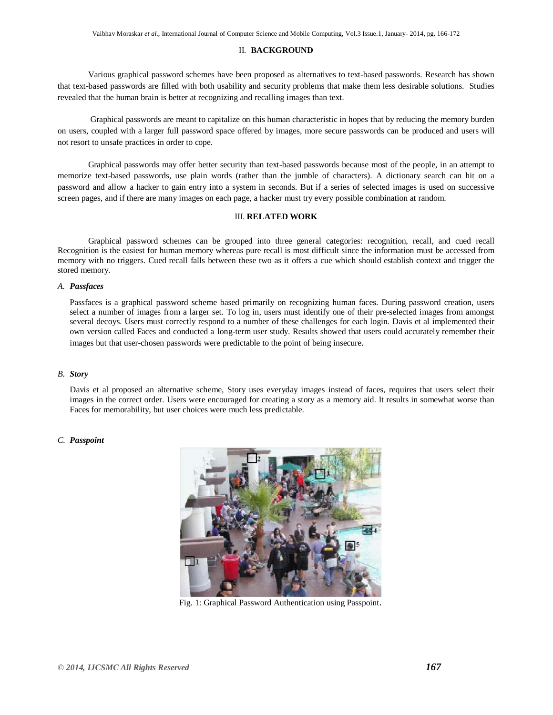# II. **BACKGROUND**

Various graphical password schemes have been proposed as alternatives to text-based passwords. Research has shown that text-based passwords are filled with both usability and security problems that make them less desirable solutions. Studies revealed that the human brain is better at recognizing and recalling images than text.

Graphical passwords are meant to capitalize on this human characteristic in hopes that by reducing the memory burden on users, coupled with a larger full password space offered by images, more secure passwords can be produced and users will not resort to unsafe practices in order to cope.

Graphical passwords may offer better security than text-based passwords because most of the people, in an attempt to memorize text-based passwords, use plain words (rather than the jumble of characters). A dictionary search can hit on a password and allow a hacker to gain entry into a system in seconds. But if a series of selected images is used on successive screen pages, and if there are many images on each page, a hacker must try every possible combination at random.

#### III. **RELATED WORK**

Graphical password schemes can be grouped into three general categories: recognition, recall, and cued recall Recognition is the easiest for human memory whereas pure recall is most difficult since the information must be accessed from memory with no triggers. Cued recall falls between these two as it offers a cue which should establish context and trigger the stored memory.

#### *A. Passfaces*

Passfaces is a graphical password scheme based primarily on recognizing human faces. During password creation, users select a number of images from a larger set. To log in, users must identify one of their pre-selected images from amongst several decoys. Users must correctly respond to a number of these challenges for each login. Davis et al implemented their own version called Faces and conducted a long-term user study. Results showed that users could accurately remember their images but that user-chosen passwords were predictable to the point of being insecure.

# *B. Story*

Davis et al proposed an alternative scheme, Story uses everyday images instead of faces, requires that users select their images in the correct order. Users were encouraged for creating a story as a memory aid. It results in somewhat worse than Faces for memorability, but user choices were much less predictable.

# *C. Passpoint*



Fig. 1: Graphical Password Authentication using Passpoint.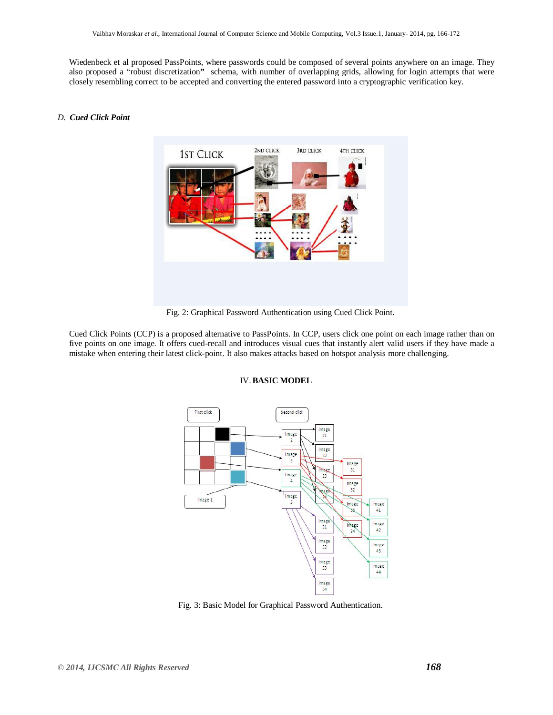Wiedenbeck et al proposed PassPoints, where passwords could be composed of several points anywhere on an image. They also proposed a "robust discretization**"** schema, with number of overlapping grids, allowing for login attempts that were closely resembling correct to be accepted and converting the entered password into a cryptographic verification key.

# *D. Cued Click Point*



Fig. 2: Graphical Password Authentication using Cued Click Point.

Cued Click Points (CCP) is a proposed alternative to PassPoints. In CCP, users click one point on each image rather than on five points on one image. It offers cued-recall and introduces visual cues that instantly alert valid users if they have made a mistake when entering their latest click-point. It also makes attacks based on hotspot analysis more challenging.



# IV.**BASIC MODEL**

Fig. 3: Basic Model for Graphical Password Authentication.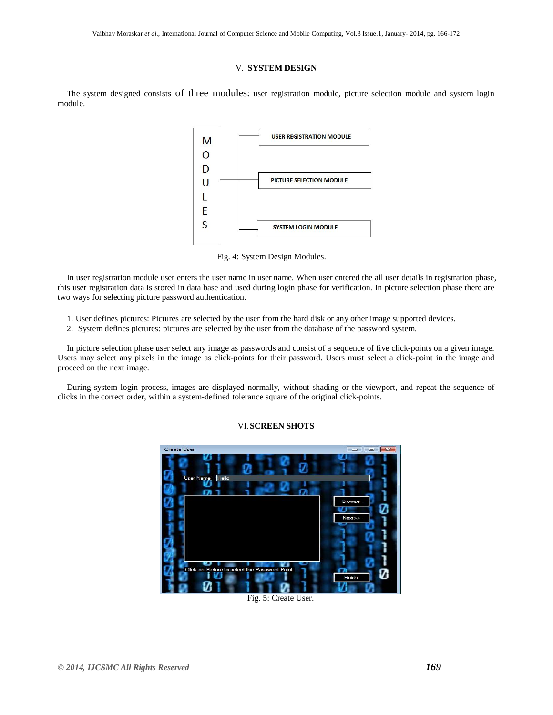# V. **SYSTEM DESIGN**

The system designed consists of three modules: user registration module, picture selection module and system login module.



Fig. 4: System Design Modules.

In user registration module user enters the user name in user name. When user entered the all user details in registration phase, this user registration data is stored in data base and used during login phase for verification. In picture selection phase there are two ways for selecting picture password authentication.

- 1. User defines pictures: Pictures are selected by the user from the hard disk or any other image supported devices.
- 2. System defines pictures: pictures are selected by the user from the database of the password system.

In picture selection phase user select any image as passwords and consist of a sequence of five click-points on a given image. Users may select any pixels in the image as click-points for their password. Users must select a click-point in the image and proceed on the next image.

During system login process, images are displayed normally, without shading or the viewport, and repeat the sequence of clicks in the correct order, within a system-defined tolerance square of the original click-points.

# VI. **SCREEN SHOTS**



Fig. 5: Create User.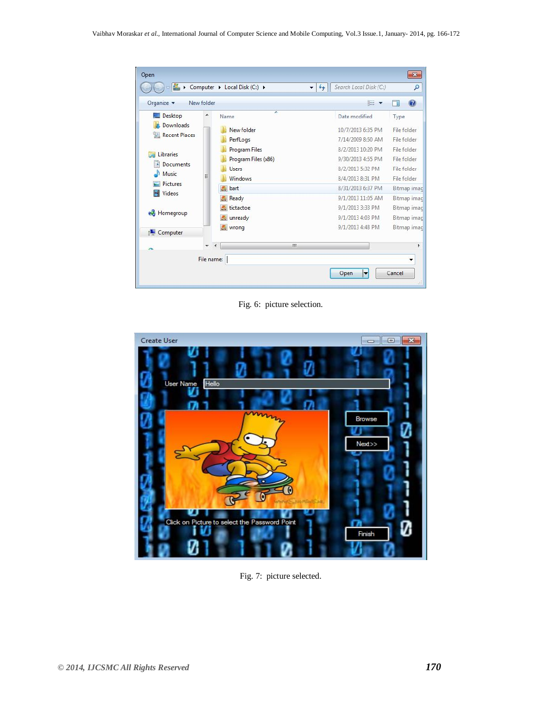| Organize v                                                              | New folder               |                      | 胆                 | ⋒           |
|-------------------------------------------------------------------------|--------------------------|----------------------|-------------------|-------------|
| Desktop                                                                 | ×                        | ×<br>Name            | Date modified     | Type        |
| Downloads<br>Recent Places                                              |                          | New folder           | 10/7/2013 6:35 PM | File folder |
|                                                                         |                          | PerfLogs             | 7/14/2009 8:50 AM | File folder |
| Libraries<br>Documents<br>÷,<br>Music<br><b>Pictures</b><br>Videos<br>H |                          | <b>Program Files</b> | 8/2/2013 10:20 PM | File folder |
|                                                                         |                          | Program Files (x86)  | 9/30/2013 4:55 PM | File folder |
|                                                                         |                          | <b>Users</b>         | 8/2/2013 5:32 PM  | File folder |
|                                                                         | Ξ                        | Windows              | 8/4/2013 8:31 PM  | File folder |
|                                                                         |                          | <b>bart</b>          | 8/31/2013 6:37 PM | Bitmap imac |
|                                                                         |                          | Ready                | 9/1/2013 11:05 AM | Bitmap imac |
| Homegroup                                                               |                          | tictactoe            | 9/1/2013 3:33 PM  | Bitmap imac |
|                                                                         |                          | unready              | 9/1/2013 4:03 PM  | Bitmap imac |
| Computer                                                                |                          | wrong                | 9/1/2013 4:48 PM  | Bitmap imac |
|                                                                         | $\overline{\phantom{a}}$ | m                    |                   |             |

Fig. 6: picture selection.



Fig. 7: picture selected.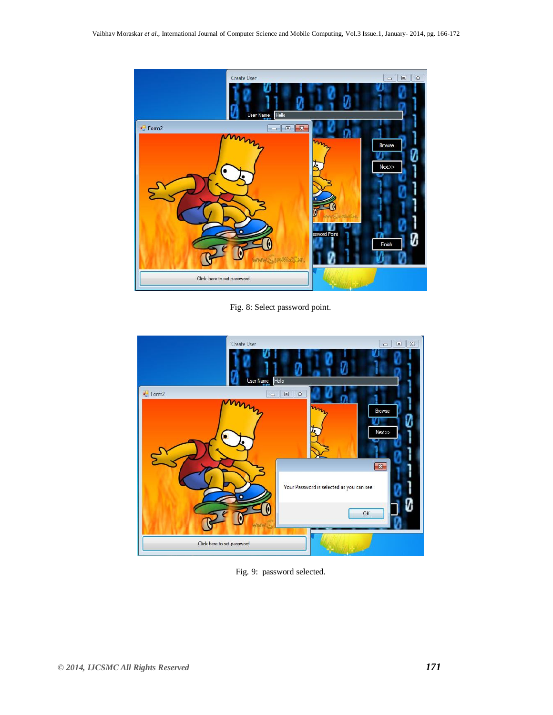

Fig. 8: Select password point.



Fig. 9: password selected.